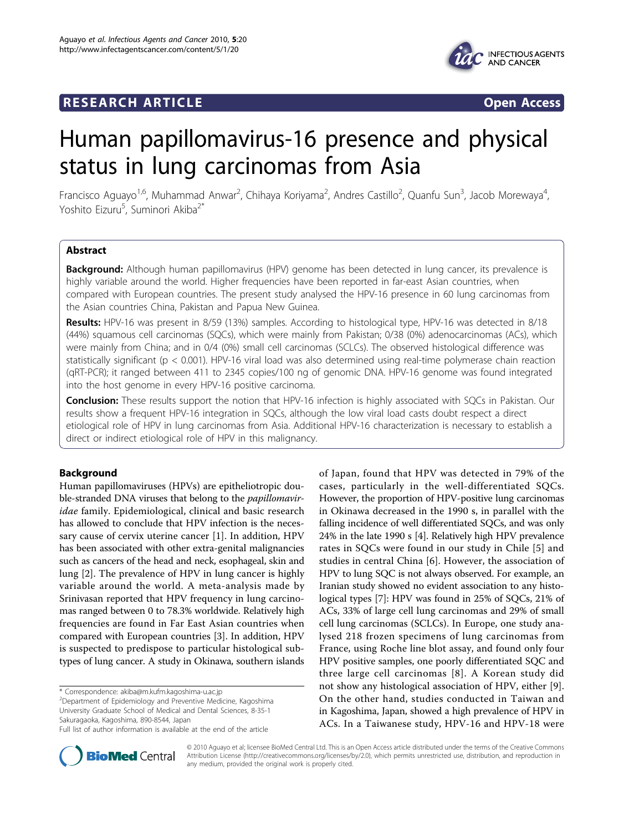## **RESEARCH ARTICLE Example 2018 CONSIDERING ACCESS**





# Human papillomavirus-16 presence and physical status in lung carcinomas from Asia

Francisco Aguayo<sup>1,6</sup>, Muhammad Anwar<sup>2</sup>, Chihaya Koriyama<sup>2</sup>, Andres Castillo<sup>2</sup>, Quanfu Sun<sup>3</sup>, Jacob Morewaya<sup>4</sup> , Yoshito Eizuru<sup>5</sup>, Suminori Akiba<sup>2\*</sup>

## Abstract

Background: Although human papillomavirus (HPV) genome has been detected in lung cancer, its prevalence is highly variable around the world. Higher frequencies have been reported in far-east Asian countries, when compared with European countries. The present study analysed the HPV-16 presence in 60 lung carcinomas from the Asian countries China, Pakistan and Papua New Guinea.

Results: HPV-16 was present in 8/59 (13%) samples. According to histological type, HPV-16 was detected in 8/18 (44%) squamous cell carcinomas (SQCs), which were mainly from Pakistan; 0/38 (0%) adenocarcinomas (ACs), which were mainly from China; and in 0/4 (0%) small cell carcinomas (SCLCs). The observed histological difference was statistically significant (p < 0.001). HPV-16 viral load was also determined using real-time polymerase chain reaction (qRT-PCR); it ranged between 411 to 2345 copies/100 ng of genomic DNA. HPV-16 genome was found integrated into the host genome in every HPV-16 positive carcinoma.

Conclusion: These results support the notion that HPV-16 infection is highly associated with SQCs in Pakistan. Our results show a frequent HPV-16 integration in SQCs, although the low viral load casts doubt respect a direct etiological role of HPV in lung carcinomas from Asia. Additional HPV-16 characterization is necessary to establish a direct or indirect etiological role of HPV in this malignancy.

## Background

Human papillomaviruses (HPVs) are epitheliotropic double-stranded DNA viruses that belong to the *papillomavir*idae family. Epidemiological, clinical and basic research has allowed to conclude that HPV infection is the necessary cause of cervix uterine cancer [\[1\]](#page-5-0). In addition, HPV has been associated with other extra-genital malignancies such as cancers of the head and neck, esophageal, skin and lung [[2\]](#page-5-0). The prevalence of HPV in lung cancer is highly variable around the world. A meta-analysis made by Srinivasan reported that HPV frequency in lung carcinomas ranged between 0 to 78.3% worldwide. Relatively high frequencies are found in Far East Asian countries when compared with European countries [\[3](#page-5-0)]. In addition, HPV is suspected to predispose to particular histological subtypes of lung cancer. A study in Okinawa, southern islands

\* Correspondence: [akiba@m.kufm.kagoshima-u.ac.jp](mailto:akiba@m.kufm.kagoshima-u.ac.jp)

2 Department of Epidemiology and Preventive Medicine, Kagoshima University Graduate School of Medical and Dental Sciences, 8-35-1 Sakuragaoka, Kagoshima, 890-8544, Japan

of Japan, found that HPV was detected in 79% of the cases, particularly in the well-differentiated SQCs. However, the proportion of HPV-positive lung carcinomas in Okinawa decreased in the 1990 s, in parallel with the falling incidence of well differentiated SQCs, and was only 24% in the late 1990 s [\[4\]](#page-5-0). Relatively high HPV prevalence rates in SQCs were found in our study in Chile [[5\]](#page-5-0) and studies in central China [[6](#page-5-0)]. However, the association of HPV to lung SQC is not always observed. For example, an Iranian study showed no evident association to any histological types [[7\]](#page-5-0): HPV was found in 25% of SQCs, 21% of ACs, 33% of large cell lung carcinomas and 29% of small cell lung carcinomas (SCLCs). In Europe, one study analysed 218 frozen specimens of lung carcinomas from France, using Roche line blot assay, and found only four HPV positive samples, one poorly differentiated SQC and three large cell carcinomas [\[8\]](#page-5-0). A Korean study did not show any histological association of HPV, either [\[9](#page-5-0)]. On the other hand, studies conducted in Taiwan and in Kagoshima, Japan, showed a high prevalence of HPV in ACs. In a Taiwanese study, HPV-16 and HPV-18 were



© 2010 Aguayo et al; licensee BioMed Central Ltd. This is an Open Access article distributed under the terms of the Creative Commons Attribution License [\(http://creativecommons.org/licenses/by/2.0](http://creativecommons.org/licenses/by/2.0)), which permits unrestricted use, distribution, and reproduction in any medium, provided the original work is properly cited.

Full list of author information is available at the end of the article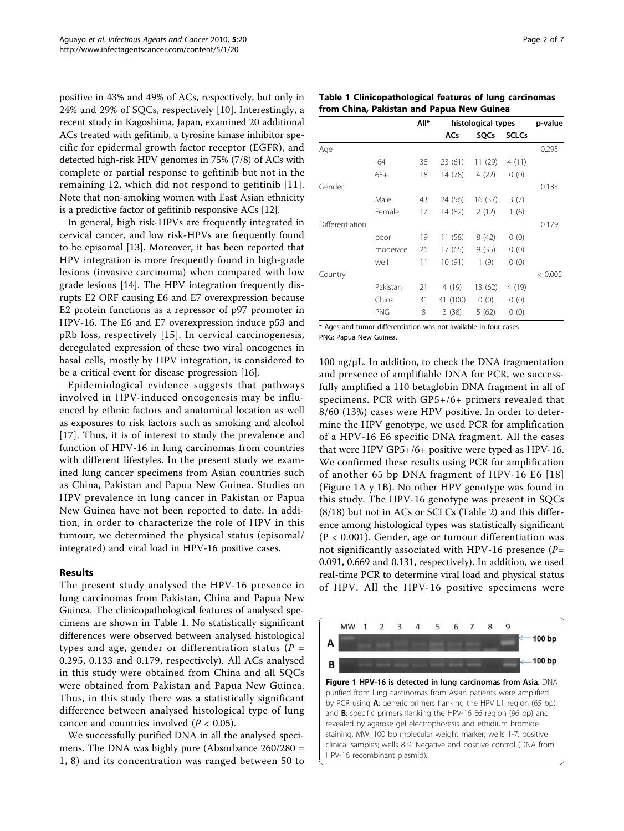positive in 43% and 49% of ACs, respectively, but only in 24% and 29% of SQCs, respectively [[10](#page-5-0)]. Interestingly, a recent study in Kagoshima, Japan, examined 20 additional ACs treated with gefitinib, a tyrosine kinase inhibitor specific for epidermal growth factor receptor (EGFR), and detected high-risk HPV genomes in 75% (7/8) of ACs with complete or partial response to gefitinib but not in the remaining 12, which did not respond to gefitinib [[11\]](#page-5-0). Note that non-smoking women with East Asian ethnicity is a predictive factor of gefitinib responsive ACs [\[12\]](#page-5-0).

In general, high risk-HPVs are frequently integrated in cervical cancer, and low risk-HPVs are frequently found to be episomal [[13\]](#page-5-0). Moreover, it has been reported that HPV integration is more frequently found in high-grade lesions (invasive carcinoma) when compared with low grade lesions [[14\]](#page-5-0). The HPV integration frequently disrupts E2 ORF causing E6 and E7 overexpression because E2 protein functions as a repressor of p97 promoter in HPV-16. The E6 and E7 overexpression induce p53 and pRb loss, respectively [[15](#page-5-0)]. In cervical carcinogenesis, deregulated expression of these two viral oncogenes in basal cells, mostly by HPV integration, is considered to be a critical event for disease progression [[16\]](#page-5-0).

Epidemiological evidence suggests that pathways involved in HPV-induced oncogenesis may be influenced by ethnic factors and anatomical location as well as exposures to risk factors such as smoking and alcohol [[17](#page-5-0)]. Thus, it is of interest to study the prevalence and function of HPV-16 in lung carcinomas from countries with different lifestyles. In the present study we examined lung cancer specimens from Asian countries such as China, Pakistan and Papua New Guinea. Studies on HPV prevalence in lung cancer in Pakistan or Papua New Guinea have not been reported to date. In addition, in order to characterize the role of HPV in this tumour, we determined the physical status (episomal/ integrated) and viral load in HPV-16 positive cases.

## Results

The present study analysed the HPV-16 presence in lung carcinomas from Pakistan, China and Papua New Guinea. The clinicopathological features of analysed specimens are shown in Table 1. No statistically significant differences were observed between analysed histological types and age, gender or differentiation status ( $P =$ 0.295, 0.133 and 0.179, respectively). All ACs analysed in this study were obtained from China and all SQCs were obtained from Pakistan and Papua New Guinea. Thus, in this study there was a statistically significant difference between analysed histological type of lung cancer and countries involved ( $P < 0.05$ ).

We successfully purified DNA in all the analysed specimens. The DNA was highly pure (Absorbance 260/280 = 1, 8) and its concentration was ranged between 50 to

| Table 1 Clinicopathological features of lung carcinomas |  |
|---------------------------------------------------------|--|
| from China, Pakistan and Papua New Guinea               |  |

|                 |            | All* | histological types |         | p-value      |         |
|-----------------|------------|------|--------------------|---------|--------------|---------|
|                 |            |      | ACs                | SQCs    | <b>SCLCs</b> |         |
| Age             |            |      |                    |         |              | 0.295   |
|                 | -64        | 38   | 23 (61)            | 11 (29) | 4(11)        |         |
|                 | $65+$      | 18   | 14 (78)            | 4(22)   | 0(0)         |         |
| Gender          |            |      |                    |         |              | 0.133   |
|                 | Male       | 43   | 24 (56)            | 16 (37) | 3(7)         |         |
|                 | Female     | 17   | 14 (82)            | 2(12)   | 1(6)         |         |
| Differentiation |            |      |                    |         |              | 0.179   |
|                 | poor       | 19   | 11 (58)            | 8(42)   | 0(0)         |         |
|                 | moderate   | 26   | 17 (65)            | 9(35)   | 0(0)         |         |
|                 | well       | 11   | 10 (91)            | 1(9)    | 0(0)         |         |
| Country         |            |      |                    |         |              | < 0.005 |
|                 | Pakistan   | 21   | 4 (19)             | 13 (62) | 4 (19)       |         |
|                 | China      | 31   | 31 (100)           | 0(0)    | 0(0)         |         |
|                 | <b>PNG</b> | 8    | 3(38)              | 5(62)   | 0(0)         |         |

\* Ages and tumor differentiation was not available in four cases PNG: Papua New Guinea.

 $100 \text{ ng/µL}$ . In addition, to check the DNA fragmentation and presence of amplifiable DNA for PCR, we successfully amplified a 110 betaglobin DNA fragment in all of specimens. PCR with GP5+/6+ primers revealed that 8/60 (13%) cases were HPV positive. In order to determine the HPV genotype, we used PCR for amplification of a HPV-16 E6 specific DNA fragment. All the cases that were HPV GP5+/6+ positive were typed as HPV-16. We confirmed these results using PCR for amplification of another 65 bp DNA fragment of HPV-16 E6 [[18](#page-5-0)] (Figure 1A y 1B). No other HPV genotype was found in this study. The HPV-16 genotype was present in SQCs (8/18) but not in ACs or SCLCs (Table [2\)](#page-2-0) and this difference among histological types was statistically significant (P < 0.001). Gender, age or tumour differentiation was not significantly associated with HPV-16 presence  $(P=$ 0.091, 0.669 and 0.131, respectively). In addition, we used real-time PCR to determine viral load and physical status of HPV. All the HPV-16 positive specimens were

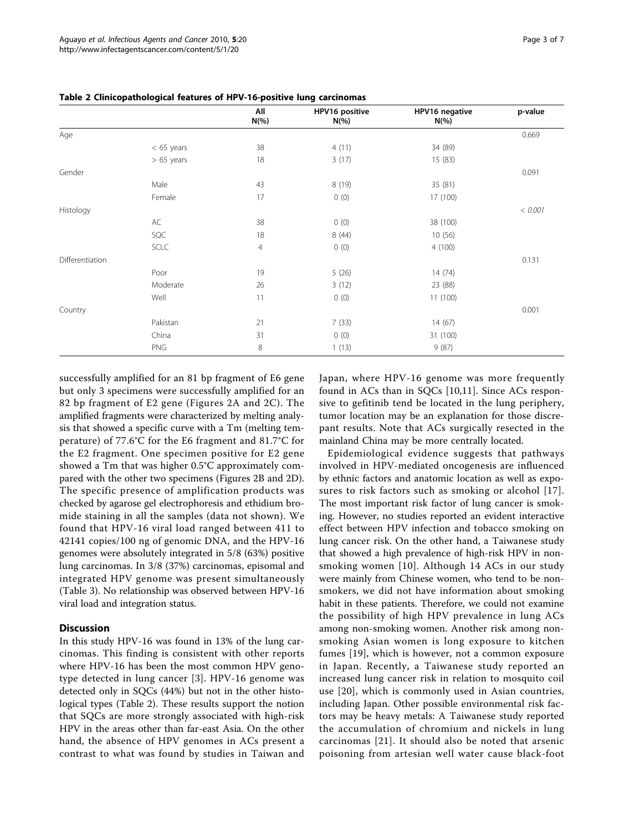|                 |              | All<br>$N(\% )$ | HPV16 positive<br>$N(\% )$ | HPV16 negative<br>$N(\% )$ | p-value |
|-----------------|--------------|-----------------|----------------------------|----------------------------|---------|
| Age             |              |                 |                            |                            | 0.669   |
|                 | $< 65$ years | 38              | 4(11)                      | 34 (89)                    |         |
|                 | $> 65$ years | 18              | 3(17)                      | 15 (83)                    |         |
| Gender          |              |                 |                            |                            | 0.091   |
|                 | Male         | 43              | 8 (19)                     | 35 (81)                    |         |
|                 | Female       | 17              | 0(0)                       | 17 (100)                   |         |
| Histology       |              |                 |                            |                            | < 0.001 |
|                 | AC           | 38              | 0(0)                       | 38 (100)                   |         |
|                 | SQC          | 18              | 8(44)                      | 10 (56)                    |         |
|                 | <b>SCLC</b>  | 4               | 0(0)                       | 4(100)                     |         |
| Differentiation |              |                 |                            |                            | 0.131   |
|                 | Poor         | 19              | 5(26)                      | 14(74)                     |         |
|                 | Moderate     | 26              | 3(12)                      | 23 (88)                    |         |
|                 | Well         | 11              | 0(0)                       | 11(100)                    |         |
| Country         |              |                 |                            |                            | 0.001   |
|                 | Pakistan     | 21              | 7(33)                      | 14(67)                     |         |
|                 | China        | 31              | 0(0)                       | 31 (100)                   |         |
|                 | <b>PNG</b>   | 8               | 1(13)                      | 9(87)                      |         |

<span id="page-2-0"></span>Table 2 Clinicopathological features of HPV-16-positive lung carcinomas

successfully amplified for an 81 bp fragment of E6 gene but only 3 specimens were successfully amplified for an 82 bp fragment of E2 gene (Figures [2A](#page-3-0) and [2C](#page-3-0)). The amplified fragments were characterized by melting analysis that showed a specific curve with a Tm (melting temperature) of 77.6°C for the E6 fragment and 81.7°C for the E2 fragment. One specimen positive for E2 gene showed a Tm that was higher 0.5°C approximately compared with the other two specimens (Figures [2B](#page-3-0) and [2D](#page-3-0)). The specific presence of amplification products was checked by agarose gel electrophoresis and ethidium bromide staining in all the samples (data not shown). We found that HPV-16 viral load ranged between 411 to 42141 copies/100 ng of genomic DNA, and the HPV-16 genomes were absolutely integrated in 5/8 (63%) positive lung carcinomas. In 3/8 (37%) carcinomas, episomal and integrated HPV genome was present simultaneously (Table [3](#page-3-0)). No relationship was observed between HPV-16 viral load and integration status.

## **Discussion**

In this study HPV-16 was found in 13% of the lung carcinomas. This finding is consistent with other reports where HPV-16 has been the most common HPV genotype detected in lung cancer [[3](#page-5-0)]. HPV-16 genome was detected only in SQCs (44%) but not in the other histological types (Table 2). These results support the notion that SQCs are more strongly associated with high-risk HPV in the areas other than far-east Asia. On the other hand, the absence of HPV genomes in ACs present a contrast to what was found by studies in Taiwan and Japan, where HPV-16 genome was more frequently found in ACs than in SQCs [[10,11](#page-5-0)]. Since ACs responsive to gefitinib tend be located in the lung periphery, tumor location may be an explanation for those discrepant results. Note that ACs surgically resected in the mainland China may be more centrally located.

Epidemiological evidence suggests that pathways involved in HPV-mediated oncogenesis are influenced by ethnic factors and anatomic location as well as exposures to risk factors such as smoking or alcohol [[17\]](#page-5-0). The most important risk factor of lung cancer is smoking. However, no studies reported an evident interactive effect between HPV infection and tobacco smoking on lung cancer risk. On the other hand, a Taiwanese study that showed a high prevalence of high-risk HPV in nonsmoking women [[10](#page-5-0)]. Although 14 ACs in our study were mainly from Chinese women, who tend to be nonsmokers, we did not have information about smoking habit in these patients. Therefore, we could not examine the possibility of high HPV prevalence in lung ACs among non-smoking women. Another risk among nonsmoking Asian women is long exposure to kitchen fumes [[19\]](#page-5-0), which is however, not a common exposure in Japan. Recently, a Taiwanese study reported an increased lung cancer risk in relation to mosquito coil use [[20](#page-5-0)], which is commonly used in Asian countries, including Japan. Other possible environmental risk factors may be heavy metals: A Taiwanese study reported the accumulation of chromium and nickels in lung carcinomas [[21\]](#page-5-0). It should also be noted that arsenic poisoning from artesian well water cause black-foot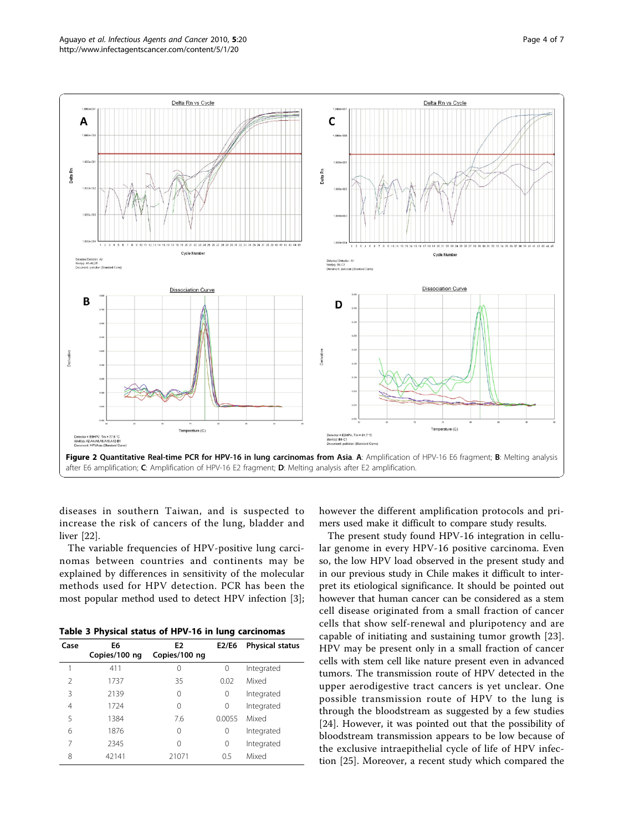<span id="page-3-0"></span>

diseases in southern Taiwan, and is suspected to increase the risk of cancers of the lung, bladder and liver [[22](#page-5-0)].

The variable frequencies of HPV-positive lung carcinomas between countries and continents may be explained by differences in sensitivity of the molecular methods used for HPV detection. PCR has been the most popular method used to detect HPV infection [\[3](#page-5-0)];

Table 3 Physical status of HPV-16 in lung carcinomas

| Case | E6<br>Copies/100 ng | E <sub>2</sub><br>Copies/100 ng | E2/E6  | <b>Physical status</b> |
|------|---------------------|---------------------------------|--------|------------------------|
|      | 411                 | 0                               | 0      | Integrated             |
| 2    | 1737                | 35                              | 0.02   | Mixed                  |
| ξ    | 2139                | 0                               | 0      | Integrated             |
| 4    | 1724                | 0                               | 0      | Integrated             |
| 5    | 1384                | 7.6                             | 0.0055 | Mixed                  |
| 6    | 1876                | 0                               | 0      | Integrated             |
| 7    | 2345                | Ω                               | 0      | Integrated             |
| 8    | 42141               | 21071                           | 0.5    | Mixed                  |

however the different amplification protocols and primers used make it difficult to compare study results.

The present study found HPV-16 integration in cellular genome in every HPV-16 positive carcinoma. Even so, the low HPV load observed in the present study and in our previous study in Chile makes it difficult to interpret its etiological significance. It should be pointed out however that human cancer can be considered as a stem cell disease originated from a small fraction of cancer cells that show self-renewal and pluripotency and are capable of initiating and sustaining tumor growth [[23](#page-5-0)]. HPV may be present only in a small fraction of cancer cells with stem cell like nature present even in advanced tumors. The transmission route of HPV detected in the upper aerodigestive tract cancers is yet unclear. One possible transmission route of HPV to the lung is through the bloodstream as suggested by a few studies [[24\]](#page-6-0). However, it was pointed out that the possibility of bloodstream transmission appears to be low because of the exclusive intraepithelial cycle of life of HPV infection [[25](#page-6-0)]. Moreover, a recent study which compared the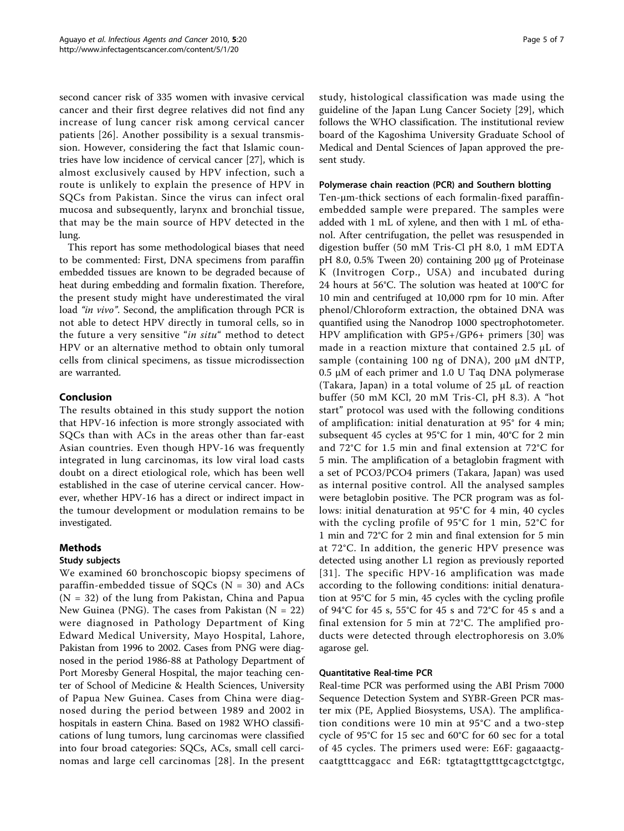second cancer risk of 335 women with invasive cervical cancer and their first degree relatives did not find any increase of lung cancer risk among cervical cancer patients [\[26](#page-6-0)]. Another possibility is a sexual transmission. However, considering the fact that Islamic countries have low incidence of cervical cancer [\[27\]](#page-6-0), which is almost exclusively caused by HPV infection, such a route is unlikely to explain the presence of HPV in SQCs from Pakistan. Since the virus can infect oral mucosa and subsequently, larynx and bronchial tissue, that may be the main source of HPV detected in the lung.

This report has some methodological biases that need to be commented: First, DNA specimens from paraffin embedded tissues are known to be degraded because of heat during embedding and formalin fixation. Therefore, the present study might have underestimated the viral load "in vivo". Second, the amplification through PCR is not able to detect HPV directly in tumoral cells, so in the future a very sensitive "in situ" method to detect HPV or an alternative method to obtain only tumoral cells from clinical specimens, as tissue microdissection are warranted.

## Conclusion

The results obtained in this study support the notion that HPV-16 infection is more strongly associated with SQCs than with ACs in the areas other than far-east Asian countries. Even though HPV-16 was frequently integrated in lung carcinomas, its low viral load casts doubt on a direct etiological role, which has been well established in the case of uterine cervical cancer. However, whether HPV-16 has a direct or indirect impact in the tumour development or modulation remains to be investigated.

## Methods

## Study subjects

We examined 60 bronchoscopic biopsy specimens of paraffin-embedded tissue of  $SQCs$  (N = 30) and  $ACS$  $(N = 32)$  of the lung from Pakistan, China and Papua New Guinea (PNG). The cases from Pakistan  $(N = 22)$ were diagnosed in Pathology Department of King Edward Medical University, Mayo Hospital, Lahore, Pakistan from 1996 to 2002. Cases from PNG were diagnosed in the period 1986-88 at Pathology Department of Port Moresby General Hospital, the major teaching center of School of Medicine & Health Sciences, University of Papua New Guinea. Cases from China were diagnosed during the period between 1989 and 2002 in hospitals in eastern China. Based on 1982 WHO classifications of lung tumors, lung carcinomas were classified into four broad categories: SQCs, ACs, small cell carcinomas and large cell carcinomas [[28\]](#page-6-0). In the present study, histological classification was made using the guideline of the Japan Lung Cancer Society [[29\]](#page-6-0), which follows the WHO classification. The institutional review board of the Kagoshima University Graduate School of Medical and Dental Sciences of Japan approved the present study.

## Polymerase chain reaction (PCR) and Southern blotting

Ten-μm-thick sections of each formalin-fixed paraffinembedded sample were prepared. The samples were added with 1 mL of xylene, and then with 1 mL of ethanol. After centrifugation, the pellet was resuspended in digestion buffer (50 mM Tris-Cl pH 8.0, 1 mM EDTA pH 8.0, 0.5% Tween 20) containing 200 μg of Proteinase K (Invitrogen Corp., USA) and incubated during 24 hours at 56°C. The solution was heated at 100°C for 10 min and centrifuged at 10,000 rpm for 10 min. After phenol/Chloroform extraction, the obtained DNA was quantified using the Nanodrop 1000 spectrophotometer. HPV amplification with GP5+/GP6+ primers [[30](#page-6-0)] was made in a reaction mixture that contained 2.5 μL of sample (containing 100 ng of DNA), 200 μM dNTP,  $0.5 \mu M$  of each primer and 1.0 U Taq DNA polymerase (Takara, Japan) in a total volume of 25 μL of reaction buffer (50 mM KCl, 20 mM Tris-Cl, pH 8.3). A "hot start" protocol was used with the following conditions of amplification: initial denaturation at 95° for 4 min; subsequent 45 cycles at 95°C for 1 min, 40°C for 2 min and 72°C for 1.5 min and final extension at 72°C for 5 min. The amplification of a betaglobin fragment with a set of PCO3/PCO4 primers (Takara, Japan) was used as internal positive control. All the analysed samples were betaglobin positive. The PCR program was as follows: initial denaturation at 95°C for 4 min, 40 cycles with the cycling profile of 95°C for 1 min, 52°C for 1 min and 72°C for 2 min and final extension for 5 min at 72°C. In addition, the generic HPV presence was detected using another L1 region as previously reported [[31](#page-6-0)]. The specific HPV-16 amplification was made according to the following conditions: initial denaturation at 95°C for 5 min, 45 cycles with the cycling profile of 94°C for 45 s, 55°C for 45 s and 72°C for 45 s and a final extension for 5 min at 72°C. The amplified products were detected through electrophoresis on 3.0% agarose gel.

## Quantitative Real-time PCR

Real-time PCR was performed using the ABI Prism 7000 Sequence Detection System and SYBR-Green PCR master mix (PE, Applied Biosystems, USA). The amplification conditions were 10 min at 95°C and a two-step cycle of 95°C for 15 sec and 60°C for 60 sec for a total of 45 cycles. The primers used were: E6F: gagaaactgcaatgtttcaggacc and E6R: tgtatagttgtttgcagctctgtgc,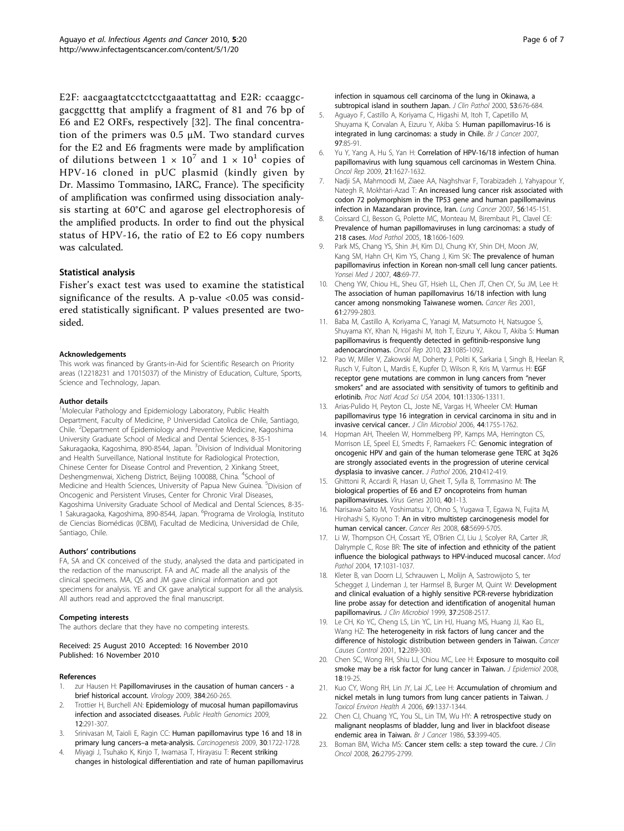<span id="page-5-0"></span>E2F: aacgaagtatcctctcctgaaattattag and E2R: ccaaggcgacggctttg that amplify a fragment of 81 and 76 bp of E6 and E2 ORFs, respectively [\[32\]](#page-6-0). The final concentration of the primers was 0.5 μM. Two standard curves for the E2 and E6 fragments were made by amplification of dilutions between  $1 \times 10^7$  and  $1 \times 10^1$  copies of HPV-16 cloned in pUC plasmid (kindly given by Dr. Massimo Tommasino, IARC, France). The specificity of amplification was confirmed using dissociation analysis starting at 60°C and agarose gel electrophoresis of the amplified products. In order to find out the physical status of HPV-16, the ratio of E2 to E6 copy numbers was calculated.

#### Statistical analysis

Fisher's exact test was used to examine the statistical significance of the results. A p-value  $< 0.05$  was considered statistically significant. P values presented are twosided.

#### Acknowledgements

This work was financed by Grants-in-Aid for Scientific Research on Priority areas (12218231 and 17015037) of the Ministry of Education, Culture, Sports, Science and Technology, Japan.

#### Author details

<sup>1</sup>Molecular Pathology and Epidemiology Laboratory, Public Health Department, Faculty of Medicine, P Universidad Catolica de Chile, Santiago, Chile. <sup>2</sup>Department of Epidemiology and Preventive Medicine, Kagoshima University Graduate School of Medical and Dental Sciences, 8-35-1 Sakuragaoka, Kagoshima, 890-8544, Japan. <sup>3</sup>Division of Individual Monitoring and Health Surveillance, National Institute for Radiological Protection, Chinese Center for Disease Control and Prevention, 2 Xinkang Street, Deshengmenwai, Xicheng District, Beijing 100088, China. <sup>4</sup>School of Medicine and Health Sciences, University of Papua New Guinea. <sup>5</sup>Division of Oncogenic and Persistent Viruses, Center for Chronic Viral Diseases, Kagoshima University Graduate School of Medical and Dental Sciences, 8-35- 1 Sakuragaoka, Kagoshima, 890-8544, Japan. <sup>6</sup> Programa de Virología, Instituto de Ciencias Biomédicas (ICBM), Facultad de Medicina, Universidad de Chile, Santiago, Chile.

#### Authors' contributions

FA, SA and CK conceived of the study, analysed the data and participated in the redaction of the manuscript. FA and AC made all the analysis of the clinical specimens. MA, QS and JM gave clinical information and got specimens for analysis. YE and CK gave analytical support for all the analysis. All authors read and approved the final manuscript.

#### Competing interests

The authors declare that they have no competing interests.

Received: 25 August 2010 Accepted: 16 November 2010 Published: 16 November 2010

#### References

- zur Hausen H: [Papillomaviruses in the causation of human cancers a](http://www.ncbi.nlm.nih.gov/pubmed/19135222?dopt=Abstract) [brief historical account.](http://www.ncbi.nlm.nih.gov/pubmed/19135222?dopt=Abstract) Virology 2009, 384:260-265.
- 2. Trottier H, Burchell AN: [Epidemiology of mucosal human papillomavirus](http://www.ncbi.nlm.nih.gov/pubmed/19684442?dopt=Abstract) [infection and associated diseases.](http://www.ncbi.nlm.nih.gov/pubmed/19684442?dopt=Abstract) Public Health Genomics 2009, 12:291-307.
- 3. Srinivasan M, Taioli E, Ragin CC: [Human papillomavirus type 16 and 18 in](http://www.ncbi.nlm.nih.gov/pubmed/19620233?dopt=Abstract) [primary lung cancers](http://www.ncbi.nlm.nih.gov/pubmed/19620233?dopt=Abstract)–a meta-analysis. Carcinogenesis 2009, 30:1722-1728.
- 4. Miyagi J, Tsuhako K, Kinjo T, Iwamasa T, Hirayasu T: [Recent striking](http://www.ncbi.nlm.nih.gov/pubmed/11041057?dopt=Abstract) [changes in histological differentiation and rate of human papillomavirus](http://www.ncbi.nlm.nih.gov/pubmed/11041057?dopt=Abstract)

[infection in squamous cell carcinoma of the lung in Okinawa, a](http://www.ncbi.nlm.nih.gov/pubmed/11041057?dopt=Abstract) [subtropical island in southern Japan.](http://www.ncbi.nlm.nih.gov/pubmed/11041057?dopt=Abstract) J Clin Pathol 2000, 53:676-684.

- 5. Aguayo F, Castillo A, Koriyama C, Higashi M, Itoh T, Capetillo M, Shuyama K, Corvalan A, Eizuru Y, Akiba S: [Human papillomavirus-16 is](http://www.ncbi.nlm.nih.gov/pubmed/17579626?dopt=Abstract) [integrated in lung carcinomas: a study in Chile.](http://www.ncbi.nlm.nih.gov/pubmed/17579626?dopt=Abstract) Br J Cancer 2007, 97:85-91.
- 6. Yu Y, Yang A, Hu S, Yan H: [Correlation of HPV-16/18 infection of human](http://www.ncbi.nlm.nih.gov/pubmed/19424646?dopt=Abstract) [papillomavirus with lung squamous cell carcinomas in Western China.](http://www.ncbi.nlm.nih.gov/pubmed/19424646?dopt=Abstract) Oncol Rep 2009, 21:1627-1632.
- 7. Nadji SA, Mahmoodi M, Ziaee AA, Naghshvar F, Torabizadeh J, Yahyapour Y, Nategh R, Mokhtari-Azad T: [An increased lung cancer risk associated with](http://www.ncbi.nlm.nih.gov/pubmed/17208332?dopt=Abstract) [codon 72 polymorphism in the TP53 gene and human papillomavirus](http://www.ncbi.nlm.nih.gov/pubmed/17208332?dopt=Abstract) [infection in Mazandaran province, Iran.](http://www.ncbi.nlm.nih.gov/pubmed/17208332?dopt=Abstract) Lung Cancer 2007, 56:145-151.
- Coissard CJ, Besson G, Polette MC, Monteau M, Birembaut PL, Clavel CE: [Prevalence of human papillomaviruses in lung carcinomas: a study of](http://www.ncbi.nlm.nih.gov/pubmed/16056245?dopt=Abstract) [218 cases.](http://www.ncbi.nlm.nih.gov/pubmed/16056245?dopt=Abstract) Mod Pathol 2005, 18:1606-1609.
- 9. Park MS, Chang YS, Shin JH, Kim DJ, Chung KY, Shin DH, Moon JW, Kang SM, Hahn CH, Kim YS, Chang J, Kim SK: [The prevalence of human](http://www.ncbi.nlm.nih.gov/pubmed/17326248?dopt=Abstract) [papillomavirus infection in Korean non-small cell lung cancer patients.](http://www.ncbi.nlm.nih.gov/pubmed/17326248?dopt=Abstract) Yonsei Med J 2007, 48:69-77
- 10. Cheng YW, Chiou HL, Sheu GT, Hsieh LL, Chen JT, Chen CY, Su JM, Lee H: [The association of human papillomavirus 16/18 infection with lung](http://www.ncbi.nlm.nih.gov/pubmed/11306446?dopt=Abstract) [cancer among nonsmoking Taiwanese women.](http://www.ncbi.nlm.nih.gov/pubmed/11306446?dopt=Abstract) Cancer Res 2001, 61:2799-2803.
- 11. Baba M, Castillo A, Koriyama C, Yanagi M, Matsumoto H, Natsugoe S, Shuyama KY, Khan N, Higashi M, Itoh T, Eizuru Y, Aikou T, Akiba S: [Human](http://www.ncbi.nlm.nih.gov/pubmed/20204295?dopt=Abstract) [papillomavirus is frequently detected in gefitinib-responsive lung](http://www.ncbi.nlm.nih.gov/pubmed/20204295?dopt=Abstract) [adenocarcinomas.](http://www.ncbi.nlm.nih.gov/pubmed/20204295?dopt=Abstract) Oncol Rep 2010, 23:1085-1092.
- 12. Pao W, Miller V, Zakowski M, Doherty J, Politi K, Sarkaria I, Singh B, Heelan R, Rusch V, Fulton L, Mardis E, Kupfer D, Wilson R, Kris M, Varmus H: [EGF](http://www.ncbi.nlm.nih.gov/pubmed/15329413?dopt=Abstract) [receptor gene mutations are common in lung cancers from](http://www.ncbi.nlm.nih.gov/pubmed/15329413?dopt=Abstract) "never smokers" [and are associated with sensitivity of tumors to gefitinib and](http://www.ncbi.nlm.nih.gov/pubmed/15329413?dopt=Abstract) [erlotinib.](http://www.ncbi.nlm.nih.gov/pubmed/15329413?dopt=Abstract) Proc Natl Acad Sci USA 2004, 101:13306-13311.
- 13. Arias-Pulido H, Peyton CL, Joste NE, Vargas H, Wheeler CM: [Human](http://www.ncbi.nlm.nih.gov/pubmed/16672403?dopt=Abstract) [papillomavirus type 16 integration in cervical carcinoma in situ and in](http://www.ncbi.nlm.nih.gov/pubmed/16672403?dopt=Abstract) [invasive cervical cancer.](http://www.ncbi.nlm.nih.gov/pubmed/16672403?dopt=Abstract) J Clin Microbiol 2006, 44:1755-1762.
- 14. Hopman AH, Theelen W, Hommelberg PP, Kamps MA, Herrington CS, Morrison LE, Speel EJ, Smedts F, Ramaekers FC: [Genomic integration of](http://www.ncbi.nlm.nih.gov/pubmed/17054308?dopt=Abstract) [oncogenic HPV and gain of the human telomerase gene TERC at 3q26](http://www.ncbi.nlm.nih.gov/pubmed/17054308?dopt=Abstract) [are strongly associated events in the progression of uterine cervical](http://www.ncbi.nlm.nih.gov/pubmed/17054308?dopt=Abstract) [dysplasia to invasive cancer.](http://www.ncbi.nlm.nih.gov/pubmed/17054308?dopt=Abstract) J Pathol 2006, 210:412-419.
- 15. Ghittoni R, Accardi R, Hasan U, Gheit T, Sylla B, Tommasino M: [The](http://www.ncbi.nlm.nih.gov/pubmed/19838783?dopt=Abstract) [biological properties of E6 and E7 oncoproteins from human](http://www.ncbi.nlm.nih.gov/pubmed/19838783?dopt=Abstract) [papillomaviruses.](http://www.ncbi.nlm.nih.gov/pubmed/19838783?dopt=Abstract) Virus Genes 2010, 40:1-13.
- 16. Narisawa-Saito M, Yoshimatsu Y, Ohno S, Yugawa T, Egawa N, Fujita M, Hirohashi S, Kiyono T: [An in vitro multistep carcinogenesis model for](http://www.ncbi.nlm.nih.gov/pubmed/18632622?dopt=Abstract) [human cervical cancer.](http://www.ncbi.nlm.nih.gov/pubmed/18632622?dopt=Abstract) Cancer Res 2008, 68:5699-5705.
- 17. Li W, Thompson CH, Cossart YE, O'Brien CJ, Liu J, Scolyer RA, Carter JR, Dalrymple C, Rose BR: [The site of infection and ethnicity of the patient](http://www.ncbi.nlm.nih.gov/pubmed/15143339?dopt=Abstract) [influence the biological pathways to HPV-induced mucosal cancer.](http://www.ncbi.nlm.nih.gov/pubmed/15143339?dopt=Abstract) Mod Pathol 2004, 17:1031-1037.
- 18. Kleter B, van Doorn LJ, Schrauwen L, Molijn A, Sastrowijoto S, ter Schegget J, Lindeman J, ter Harmsel B, Burger M, Quint W: [Development](http://www.ncbi.nlm.nih.gov/pubmed/10405393?dopt=Abstract) [and clinical evaluation of a highly sensitive PCR-reverse hybridization](http://www.ncbi.nlm.nih.gov/pubmed/10405393?dopt=Abstract) [line probe assay for detection and identification of anogenital human](http://www.ncbi.nlm.nih.gov/pubmed/10405393?dopt=Abstract) [papillomavirus.](http://www.ncbi.nlm.nih.gov/pubmed/10405393?dopt=Abstract) J Clin Microbiol 1999, 37:2508-2517.
- 19. Le CH, Ko YC, Cheng LS, Lin YC, Lin HJ, Huang MS, Huang JJ, Kao EL, Wang HZ: [The heterogeneity in risk factors of lung cancer and the](http://www.ncbi.nlm.nih.gov/pubmed/11456224?dopt=Abstract) [difference of histologic distribution between genders in Taiwan.](http://www.ncbi.nlm.nih.gov/pubmed/11456224?dopt=Abstract) Cancer Causes Control 2001, 12:289-300.
- 20. Chen SC, Wong RH, Shiu LJ, Chiou MC, Lee H: [Exposure to mosquito coil](http://www.ncbi.nlm.nih.gov/pubmed/18305363?dopt=Abstract) [smoke may be a risk factor for lung cancer in Taiwan.](http://www.ncbi.nlm.nih.gov/pubmed/18305363?dopt=Abstract) J Epidemiol 2008, 18:19-25.
- 21. Kuo CY, Wong RH, Lin JY, Lai JC, Lee H: [Accumulation of chromium and](http://www.ncbi.nlm.nih.gov/pubmed/16760140?dopt=Abstract) [nickel metals in lung tumors from lung cancer patients in Taiwan.](http://www.ncbi.nlm.nih.gov/pubmed/16760140?dopt=Abstract) J Toxicol Environ Health A 2006, 69:1337-1344.
- 22. Chen CJ, Chuang YC, You SL, Lin TM, Wu HY: [A retrospective study on](http://www.ncbi.nlm.nih.gov/pubmed/3964542?dopt=Abstract) [malignant neoplasms of bladder, lung and liver in blackfoot disease](http://www.ncbi.nlm.nih.gov/pubmed/3964542?dopt=Abstract) [endemic area in Taiwan.](http://www.ncbi.nlm.nih.gov/pubmed/3964542?dopt=Abstract) Br J Cancer 1986, 53:399-405.
- 23. Boman BM, Wicha MS: [Cancer stem cells: a step toward the cure.](http://www.ncbi.nlm.nih.gov/pubmed/18539956?dopt=Abstract) J Clin Oncol 2008, 26:2795-2799.